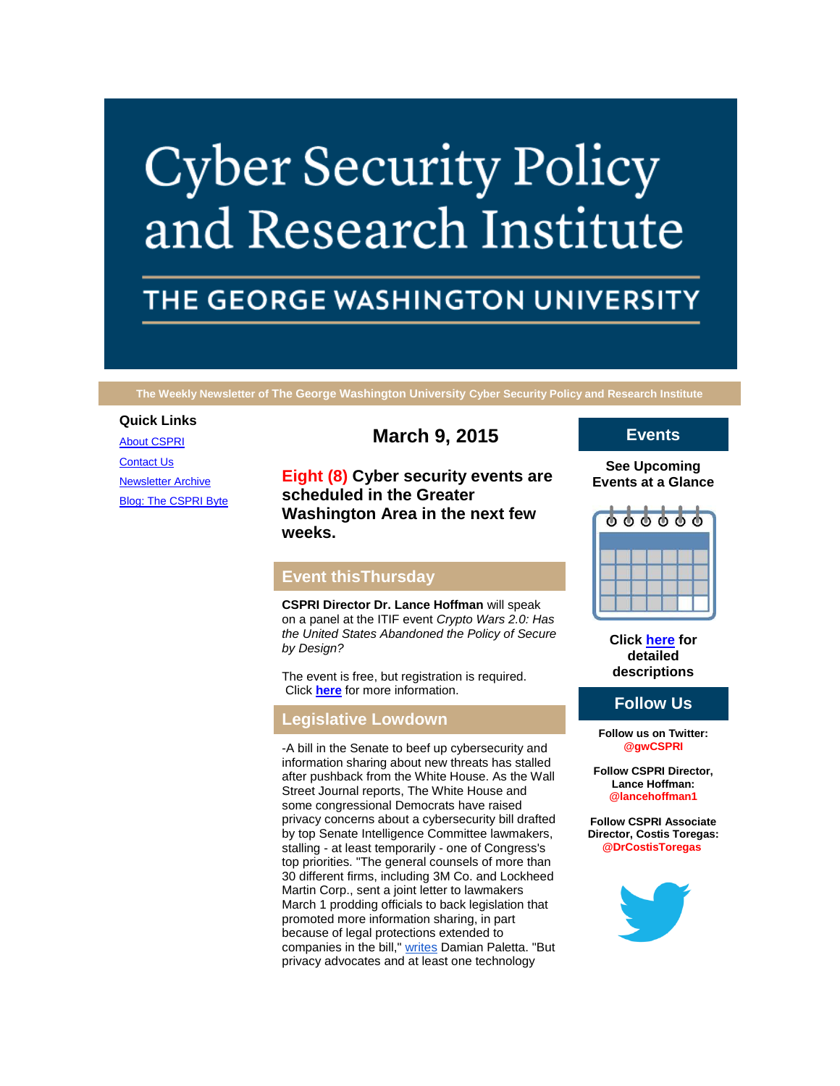# **Cyber Security Policy** and Research Institute

# THE GEORGE WASHINGTON UNIVERSITY

**The Weekly Newsletter of The George Washington University Cyber Security Policy and Research Institute**

## **Quick Links**

[About CSPRI](http://r20.rs6.net/tn.jsp?f=0010h7Eo5BcGjLvxQ4w83XFQ8gaCKBu1N7XbKc8kjen-kS7xOaIljpN-t4gbct3JlM8rFIA0Ipi-H0Ysi5wQCvQIGhLn8qDvQka76nYaK0lAxOmcANZkGdUvPVav3Kjo45oDkehYPUdCz-AxGUt9X_a8I_gasfQU0E-PdO2mRobKf81TG-yIeJpYgeAlRXb_iJS&c=d0RV6iIonnOnq4huWps4tN3wgYQW-IT5j-aDjRoIDPwOLHHRVIaw1w==&ch=fVNsxJYpIuxeIKecR7qbP9ByvMlzhBmHgwubbslCScSzzAnfdWFa3g==) **[Contact Us](http://r20.rs6.net/tn.jsp?f=0010h7Eo5BcGjLvxQ4w83XFQ8gaCKBu1N7XbKc8kjen-kS7xOaIljpN-t4gbct3JlM8QwOdTzefCUKtHOBUJLzXLYGUeNYEUtoxqUp49tGgdtOF8iCYNi7LZmh1aFk--rW6Q__EumLj5UB9hMtxYojEpC-_oDxaE5QtvD6v-my7CRRdu9YxfWjFqBDf9pIMN2xC2GG3PKF4Wak=&c=d0RV6iIonnOnq4huWps4tN3wgYQW-IT5j-aDjRoIDPwOLHHRVIaw1w==&ch=fVNsxJYpIuxeIKecR7qbP9ByvMlzhBmHgwubbslCScSzzAnfdWFa3g==)** [Newsletter Archive](http://r20.rs6.net/tn.jsp?f=0010h7Eo5BcGjLvxQ4w83XFQ8gaCKBu1N7XbKc8kjen-kS7xOaIljpN-t4gbct3JlM8xfpC3mIntMogN9HeElN8VIZYe_vcnE5VC8uOKBtKj1xVqCmoXGQHMngevXtjlxyK6hTRuH4_tGUgRKOmAuJuoAuj0jStYwHQq8Ko1ehxBjeNGkOhpWSzQrzeP2I3aKqu_ZN5LYryq74=&c=d0RV6iIonnOnq4huWps4tN3wgYQW-IT5j-aDjRoIDPwOLHHRVIaw1w==&ch=fVNsxJYpIuxeIKecR7qbP9ByvMlzhBmHgwubbslCScSzzAnfdWFa3g==) [Blog: The CSPRI Byte](http://r20.rs6.net/tn.jsp?f=0010h7Eo5BcGjLvxQ4w83XFQ8gaCKBu1N7XbKc8kjen-kS7xOaIljpN-t4gbct3JlM8bh_YiKKSV7VacsEcT-4GsAP2Ihn9QFHiwirnS5Z5RMthKcy7BuiN7Fo6-rWH_ars2BEb4o_hMvJ3vMvUwbL_LHHc_X1gqsI3J4AwIwh2iaSWz7Ij9Nj1j_a9opSn2RaH&c=d0RV6iIonnOnq4huWps4tN3wgYQW-IT5j-aDjRoIDPwOLHHRVIaw1w==&ch=fVNsxJYpIuxeIKecR7qbP9ByvMlzhBmHgwubbslCScSzzAnfdWFa3g==) **March 9, 2015**

**Eight (8) Cyber security events are scheduled in the Greater Washington Area in the next few weeks.**

# **Event thisThursday**

**CSPRI Director Dr. Lance Hoffman** will speak on a panel at the ITIF event *Crypto Wars 2.0: Has the United States Abandoned the Policy of Secure by Design?*

The event is free, but registration is required. Click **[here](http://r20.rs6.net/tn.jsp?f=0010h7Eo5BcGjLvxQ4w83XFQ8gaCKBu1N7XbKc8kjen-kS7xOaIljpN-nUmY__VfX6DCBoyweJw4V9Y-3mB2K9rDZP2OaBJJ2zJxSNhBs8_ZsiJttOILCNIzh3LO5buEwgKCkCjZxJTkPLm-TZZxandHL-49d_ZlLuVZG5bMjw0Ycgir4uJYQHa0lcFMtx00dMUrHZBphRmgYYB25lxXTa7mzdZuiEGjF1TxGS4EbReSW0wqj2SrT14YoxpIZCTmj7krpqtSTIlRuY=&c=d0RV6iIonnOnq4huWps4tN3wgYQW-IT5j-aDjRoIDPwOLHHRVIaw1w==&ch=fVNsxJYpIuxeIKecR7qbP9ByvMlzhBmHgwubbslCScSzzAnfdWFa3g==)** for more information.

### **Legislative Lowdown**

-A bill in the Senate to beef up cybersecurity and information sharing about new threats has stalled after pushback from the White House. As the Wall Street Journal reports, The White House and some congressional Democrats have raised privacy concerns about a cybersecurity bill drafted by top Senate Intelligence Committee lawmakers, stalling - at least temporarily - one of Congress's top priorities. "The general counsels of more than 30 different firms, including [3M](http://r20.rs6.net/tn.jsp?f=0010h7Eo5BcGjLvxQ4w83XFQ8gaCKBu1N7XbKc8kjen-kS7xOaIljpN-nUmY__VfX6DK4FNyK-VzvFe2ytcy4otomYdD9kqZzGxr1D8KCMZ-HsYxlJKf-26nLM9SnSXEXHOmSgsCJbifB3MXp5rg1LaeK5TI-AoiY8fs-WrdA4Gb5UMU8vTzKAXEYyOolwvIlG3aiTiGcNdQT_j8Ek6UXA5G5Wrfz6qPCRmncmknQ3gotNwwFvGVoSUoA==&c=d0RV6iIonnOnq4huWps4tN3wgYQW-IT5j-aDjRoIDPwOLHHRVIaw1w==&ch=fVNsxJYpIuxeIKecR7qbP9ByvMlzhBmHgwubbslCScSzzAnfdWFa3g==) Co. and Lockheed Martin Corp., sent a joint letter to lawmakers March 1 prodding officials to back legislation that promoted more information sharing, in part because of legal protections extended to companies in the bill," [writes](http://r20.rs6.net/tn.jsp?f=0010h7Eo5BcGjLvxQ4w83XFQ8gaCKBu1N7XbKc8kjen-kS7xOaIljpN-nUmY__VfX6DzJi6rHLLAR4ElHRZyVC07BUERNojmnXxZhmi0g54LR56Z1-CJIZ4jYyAwxoF0ztCQoOxnFoC4YG3nZHaTtXRMWZvH8cBpq6LhLexX7REUmBwcNdg9LiRWTbgG2CL-lhAi9wAk2Yvd_uZuNgYApjr1FC8mqv7P9zrEb1HWdgt_OU33e_MoBtxYbayNksCUDaLb4ooPTETNXxMZ-NkDx4O8UmN8vo6IvLF&c=d0RV6iIonnOnq4huWps4tN3wgYQW-IT5j-aDjRoIDPwOLHHRVIaw1w==&ch=fVNsxJYpIuxeIKecR7qbP9ByvMlzhBmHgwubbslCScSzzAnfdWFa3g==) Damian Paletta. "But privacy advocates and at least one technology

# **Events**

#### **See Upcoming Events at a Glance**



**Click [here](http://r20.rs6.net/tn.jsp?f=0010h7Eo5BcGjLvxQ4w83XFQ8gaCKBu1N7XbKc8kjen-kS7xOaIljpN-t4gbct3JlM8myX9YCnSb6omFSX7duySyQ-p-nlvS8Wz59s4ATYqgGH1Mg643B5ykQJxSOb6q7GMK9WLP-2Qvzb6jC4EcRF7kz9xo_XUyLWgCxEdUwIVSQRrAMunX0hR-sJd9_Bik-NO_s5XmR1TqibgT80ossGTYg==&c=d0RV6iIonnOnq4huWps4tN3wgYQW-IT5j-aDjRoIDPwOLHHRVIaw1w==&ch=fVNsxJYpIuxeIKecR7qbP9ByvMlzhBmHgwubbslCScSzzAnfdWFa3g==) for detailed descriptions**

# **Follow Us**

**Follow us on Twitter: @gwCSPRI**

**Follow CSPRI Director, Lance Hoffman: @lancehoffman1**

**Follow CSPRI Associate Director, Costis Toregas: @DrCostisToregas**

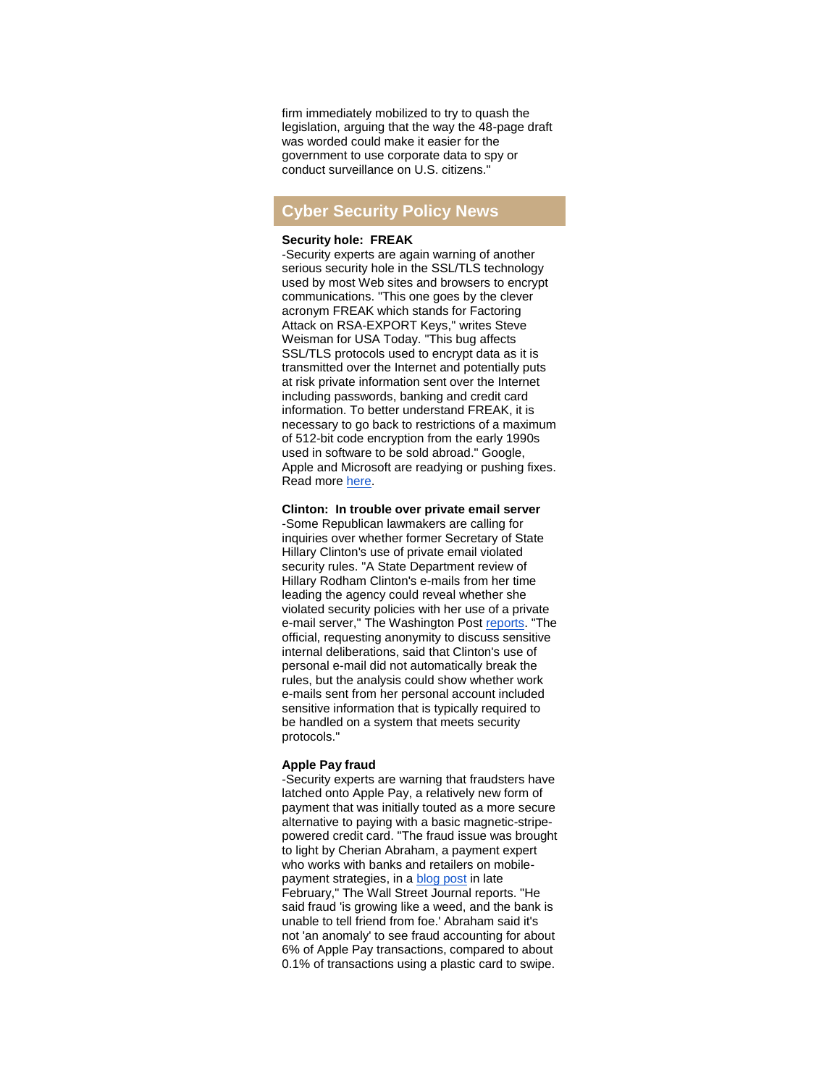firm immediately mobilized to try to quash the legislation, arguing that the way the 48-page draft was worded could make it easier for the government to use corporate data to spy or conduct surveillance on U.S. citizens."

# **Cyber Security Policy News**

#### **Security hole: FREAK**

-Security experts are again warning of another serious security hole in the SSL/TLS technology used by most Web sites and browsers to encrypt communications. "This one goes by the clever acronym FREAK which stands for Factoring Attack on RSA-EXPORT Keys," writes Steve Weisman for USA Today. "This bug affects SSL/TLS protocols used to encrypt data as it is transmitted over the Internet and potentially puts at risk private information sent over the Internet including passwords, banking and credit card information. To better understand FREAK, it is necessary to go back to restrictions of a maximum of 512-bit code encryption from the early 1990s used in software to be sold abroad." Google, Apple and Microsoft are readying or pushing fixes. Read more [here.](http://r20.rs6.net/tn.jsp?f=0010h7Eo5BcGjLvxQ4w83XFQ8gaCKBu1N7XbKc8kjen-kS7xOaIljpN-nUmY__VfX6DSMMRBXhOrNCMxRvlF4dHGRAehQJwDYX6-zvrkPFxUphQ77Ip9083REYUrdBSLHcOn1elEYWfChhNp8V8KCRkXF23V6FjUG2KVltTY46TUbKri-v8YrNOZIYN7BbLNjB7ojek4ntYSkA9KqcZKDONtdqJ2REdXXGQnkhfmAmWG5_YB73HGgS_TJsXEkptrnuVrprdmLfRUI7VVFnFrmtJ6Q==&c=d0RV6iIonnOnq4huWps4tN3wgYQW-IT5j-aDjRoIDPwOLHHRVIaw1w==&ch=fVNsxJYpIuxeIKecR7qbP9ByvMlzhBmHgwubbslCScSzzAnfdWFa3g==)

**Clinton: In trouble over private email server**

-Some Republican lawmakers are calling for inquiries over whether former Secretary of State Hillary Clinton's use of private email violated security rules. "A State Department review of Hillary Rodham Clinton's e-mails from her time leading the agency could reveal whether she violated security policies with her use of a private e-mail server," The Washington Post [reports.](http://r20.rs6.net/tn.jsp?f=0010h7Eo5BcGjLvxQ4w83XFQ8gaCKBu1N7XbKc8kjen-kS7xOaIljpN-nUmY__VfX6DLZoeRlMUxJXyaQSHzr3KBnDPsftNcgCYaSsI8U1v36Pdtqb66KxqSmtB031n4Lo-_7CMO-LGaWv1K1mk0bTp463a3W7t_eG-PH6vgTtc6Odp7Umf23d4X_sq7Mrq8lXFnmAGCbHSFLp8NGQGUllDt_dEkHkw9nAqfOPcz2fucz-ynBZR1sRLlcZppx6AexmF2RqqDEDb4v9t8G_gQgivA1hAgOBgYa4IWdGcsm-Xqn0vw7Xbc_edCktyWT85wQkzKHjN-5ZNxsf93lP0DndmVyrophCBDcEXPvb5csL61y8WoKXSFVF2Sb-4riYvJGbf&c=d0RV6iIonnOnq4huWps4tN3wgYQW-IT5j-aDjRoIDPwOLHHRVIaw1w==&ch=fVNsxJYpIuxeIKecR7qbP9ByvMlzhBmHgwubbslCScSzzAnfdWFa3g==) "The official, requesting anonymity to discuss sensitive internal deliberations, said that Clinton's use of personal e-mail did not automatically break the rules, but the analysis could show whether work e-mails sent from her personal account included sensitive information that is typically required to be handled on a system that meets security protocols."

#### **Apple Pay fraud**

-Security experts are warning that fraudsters have latched onto Apple Pay, a relatively new form of payment that was initially touted as a more secure alternative to paying with a basic magnetic-stripepowered credit card. "The fraud issue was brought to light by Cherian Abraham, a payment expert who works with banks and retailers on mobilepayment strategies, in a [blog post](http://r20.rs6.net/tn.jsp?f=0010h7Eo5BcGjLvxQ4w83XFQ8gaCKBu1N7XbKc8kjen-kS7xOaIljpN-nUmY__VfX6D0CRpl_M0qyQBwWvd0au2D8KdijzoUM4KAxa7QLzU361PFCPcno4yZ_c91iMfQyj0YfgLsPqT6tS8ZG_QmO6H9W8aUEHWAy3CgqPhiIvhyHeNenD3Dhh6FYrqQb75ai2L&c=d0RV6iIonnOnq4huWps4tN3wgYQW-IT5j-aDjRoIDPwOLHHRVIaw1w==&ch=fVNsxJYpIuxeIKecR7qbP9ByvMlzhBmHgwubbslCScSzzAnfdWFa3g==) in late February," The Wall Street Journal reports. "He said fraud 'is growing like a weed, and the bank is unable to tell friend from foe.' Abraham said it's not 'an anomaly' to see fraud accounting for about 6% of Apple Pay transactions, compared to about 0.1% of transactions using a plastic card to swipe.